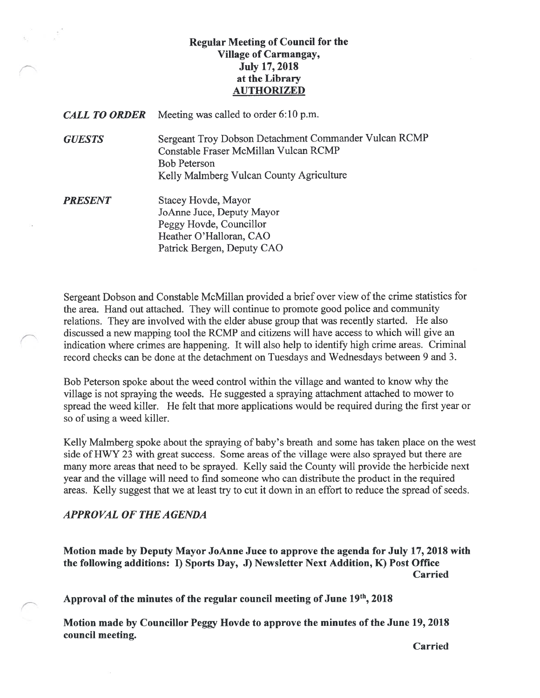# Regular Meeting of Council for the Village of Carmangay, July 17, 2018 at the Library AUTHORIZED

**CALL TO ORDER** Meeting was called to order 6:10 p.m.

GUESTS Sergeant Troy Dobson Detachment Commander Vulcan RCMP Constable Fraser McMillan Vulcan RCMP Bob Peterson Kelly Malmberg Vulcan County Agriculture

**PRESENT** Stacey Hovde, Mayor JoAnne Juce, Deputy Mayor Peggy Hovde, Councillor Heather O'Halloran, CAO Patrick Bergen, Deputy CAO

Sergeant Dobson and Constable McMillan provided a brief over view of the crime statistics for the area. Hand out attached. They will continue to promote good police and community relations. They are involved with the elder abuse group that was recently started. He also discussed a new mapping tool the RCMP and citizens will have access to which will give an indication where crimes are happening. It will also help to identify high crime areas. Criminal record checks can be done at the detachment on Tuesdays and Wednesdays between 9 and 3.

Bob Peterson spoke about the weed control within the village and wanted to know why the village is not spraying the weeds. He suggested a spraying attachment attached to mower to spread the weed killer. He felt that more applications would be required during the first year or so of using a weed killer.

Kelly Malmberg spoke about the spraying of baby's breath and some has taken place on the west side of HWY 23 with great success. Some areas of the village were also sprayed but there are many more areas that need to be sprayed. Kelly said the County will provide the herbicide next year and the village will need to find someone who can distribute the product in the required areas. Kelly suggest that we at least try to cut it down in an effort to reduce the spread of seeds.

# APPROVAL Of THE AGENDA

Motion made by Deputy Mayor JoAnne Juce to approve the agenda for July 17, 2018 with the following additions: I) Sports Day, 3) Newsletter Next Addition, K) Post Office Carried

Approval of the minutes of the regular council meeting of June 19th, 2018

Motion made by Councillor Peggy Hovde to approve the minutes of the June 19, 2018 council meeting.

Carried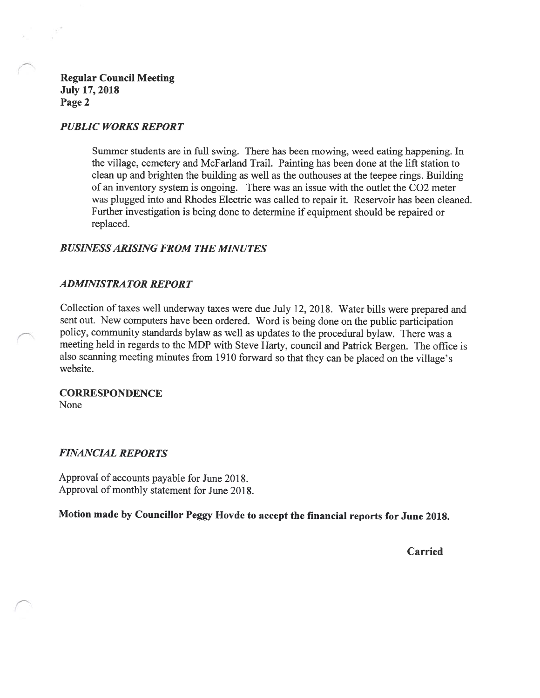Regular Council Meeting July 17, 2018 Page 2

### PUBLIC WORKS REPORT

Summer students are in full swing. There has been mowing, weed eating happening. In the village, cemetery and McFarland Trail. Painting has been done at the lift station to clean up and brighten the building as well as the outhouses at the teepee rings. Building of an inventory system is ongoing. There was an issue with the outlet the C02 meter was plugged into and Rhodes Electric was called to repair it. Reservoir has been cleaned. Further investigation is being done to determine if equipment should be repaired or replaced.

# BUSINESS ARISING FROM THE MINUTES

### ADMINISTRA TOR REPORT

Collection of taxes well underway taxes were due July 12, 201\$. Water bills were prepared and sent out. New computers have been ordered. Word is being done on the public participation policy, community standards bylaw as well as updates to the procedural bylaw. There was a meeting held in regards to the MDP with Steve Harty, council and Patrick Bergen. The office is also scanning meeting minutes from 1910 forward so that they can be placed on the village's website.

**CORRESPONDENCE** None

### FINANCIAL REPORTS

Approval of accounts payable for June 201\$. Approval of monthly statement for June 201\$.

Motion made by Councillor Peggy Hovde to accept the financial reports for June 2018.

Carried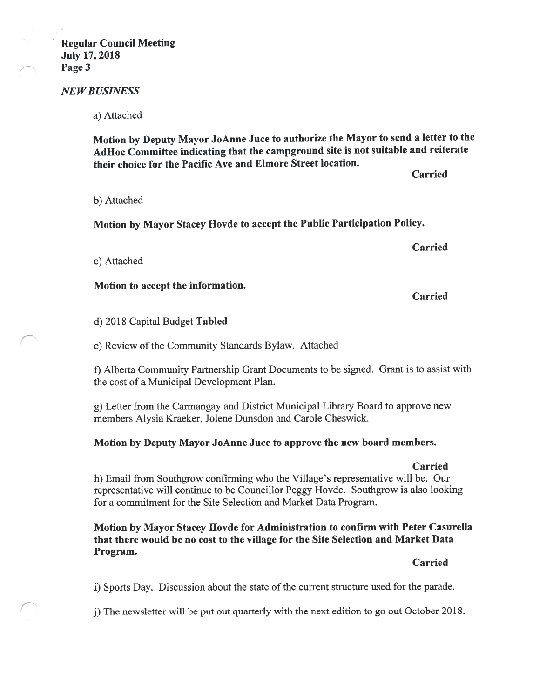### NEW BUSINESS

a) Attached

Motion by Deputy Mayor JoAnne Juce to authorize the Mayor to send a letter to the AdHoc Committee indicating that the campground site is not suitable and reiterate their choice for the Pacific Ave and Elmore Street location.

b) Attached

Motion by Mayor Stacey Hovde to accept the Public Participation Policy.

c) Attached

Motion to accept the information.

d) 2018 Capital Budget Tabled

e) Review of the Community Standards Bylaw. Attached

f) Alberta Community Partnership Grant Documents to be signed. Grant is to assist with the cost of a Municipal Development Plan.

g) Letter from the Carmangay and District Municipal Library Board to approve new members Alysia Kraeker, Jolene Dunsdon and Carole Cheswick.

# Motion by Deputy Mayor JoAnne Juce to approve the new board members.

Carried

Carried

Carried

Carried

h) Email from Southgrow confirming who the Village's representative will be. Our representative will continue to be Councillor Peggy Hovde. Southgrow is also looking for a commitment for the Site Selection and Market Data Program.

# Motion by Mayor Stacey Hovde for Administration to confirm with Peter Casurella that there would be no cost to the village for the Site Selection and Market Data Program.

Carried

1) Sports Day. Discussion about the state of the current structure used for the parade.

j) The newsletter will be put out quarterly with the next edition to go out October 2018.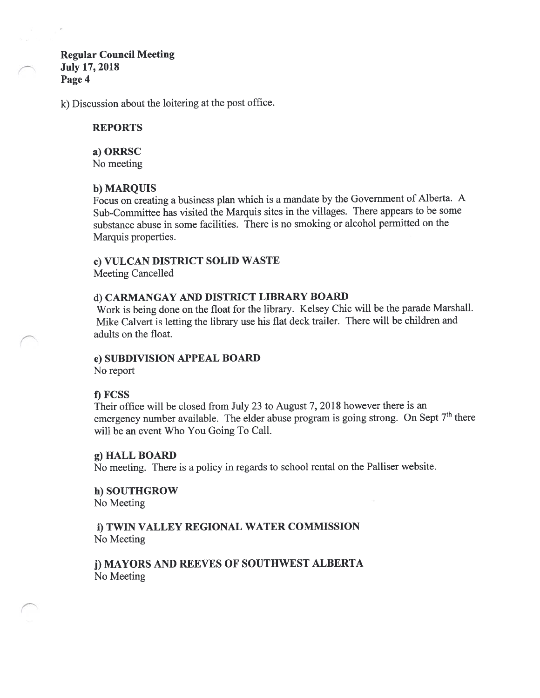# Regular Council Meeting July 17, 2018 Page 4

k) Discussion about the loitering at the post office.

### REPORTS

#### a) ORRSC

No meeting

# b) MARQUIS

focus on creating <sup>a</sup> business plan which is <sup>a</sup> mandate by the Government of Alberta. A Sub-Committee has visited the Marquis sites in the villages. There appears to be some substance abuse in some facilities. There is no smoking or alcohol permitted on the Marquis properties.

### c) VULCAN DISTRICT SOLID WASTE

Meeting Cancelled

### d) CARMANGAY AND DISTRICT LIBRARY BOARD

Work is being done on the float for the library. Kelsey Chic will be the parade Marshall. Mike Calvert is letting the library use his flat deck trailer. There will be children and adults on the float.

### e) SUBDIVISION APPEAL BOARD

No report

# 1) FCSS

Their office will be closed from July 23 to August 7, 2018 however there is an emergency number available. The elder abuse program is going strong. On Sept  $7<sup>th</sup>$  there will be an event Who You Going To Call.

### g) HALL BOARD

No meeting. There is a policy in regards to school rental on the Palliser website.

h) SOUTHGROW No Meeting

# i) TWIN VALLEY REGIONAL WATER COMMISSION No Meeting

j) MAYORS AND REEVES OF SOUTHWEST ALBERTA No Meeting